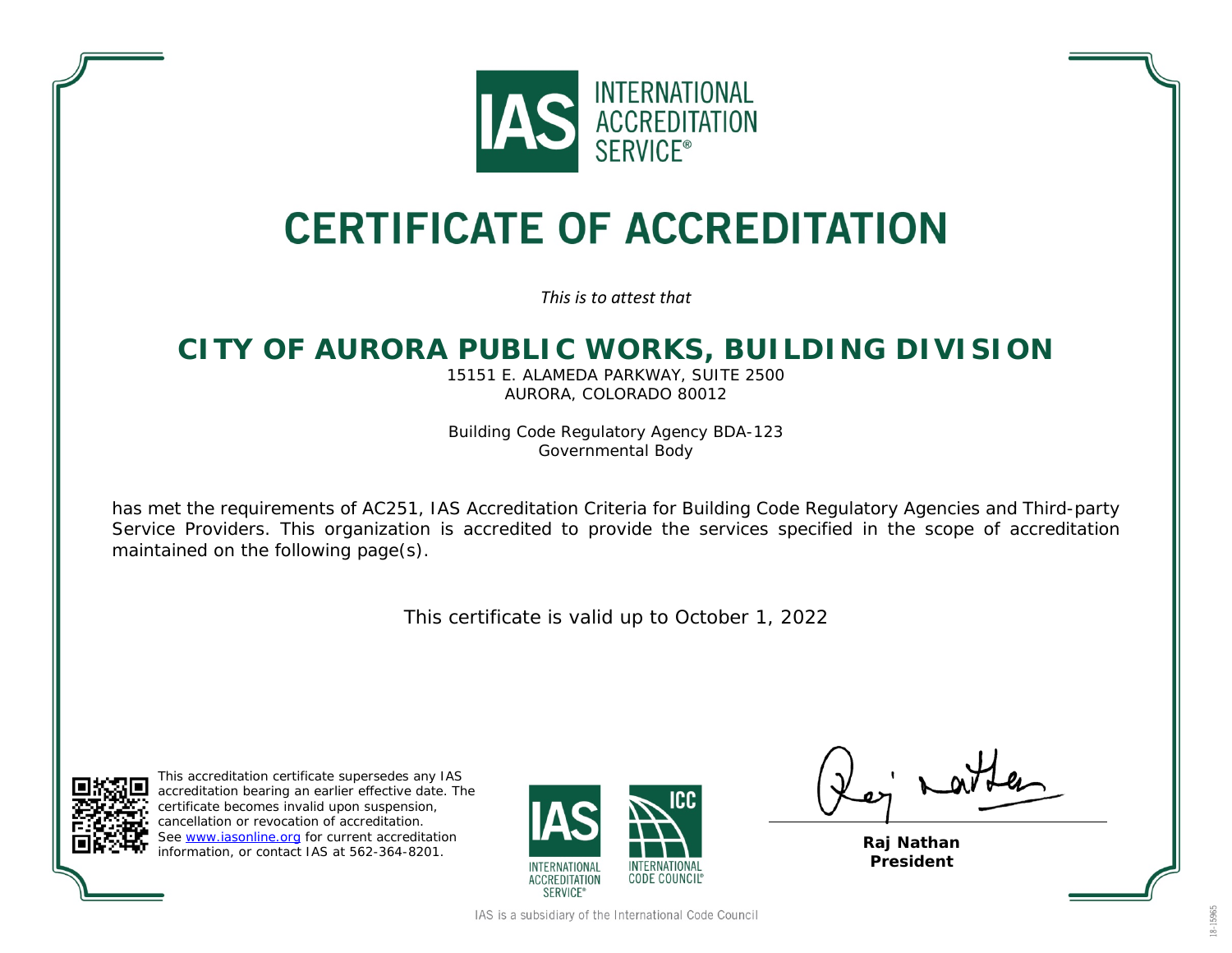

## **CERTIFICATE OF ACCREDITATION**

*This is to attest that*

## **CITY OF AURORA PUBLIC WORKS, BUILDING DIVISION**

15151 E. ALAMEDA PARKWAY, SUITE 2500 AURORA, COLORADO 80012

Building Code Regulatory Agency BDA-123 Governmental Body

has met the requirements of AC251, *IAS Accreditation Criteria for Building Code Regulatory Agencies and Third-party Service Providers*. This organization is accredited to provide the services specified in the scope of accreditation maintained on the following page(s).

This certificate is valid up to October 1, 2022



This accreditation certificate supersedes any IAS accreditation bearing an earlier effective date. The certificate becomes invalid upon suspension, cancellation or revocation of accreditation. See [www.iasonline.org](http://www.iasonline.org/) for current accreditation information, or contact IAS at 562-364-8201.



 $\int_{a}$  rati

**Raj Nathan President**

IAS is a subsidiary of the International Code Council